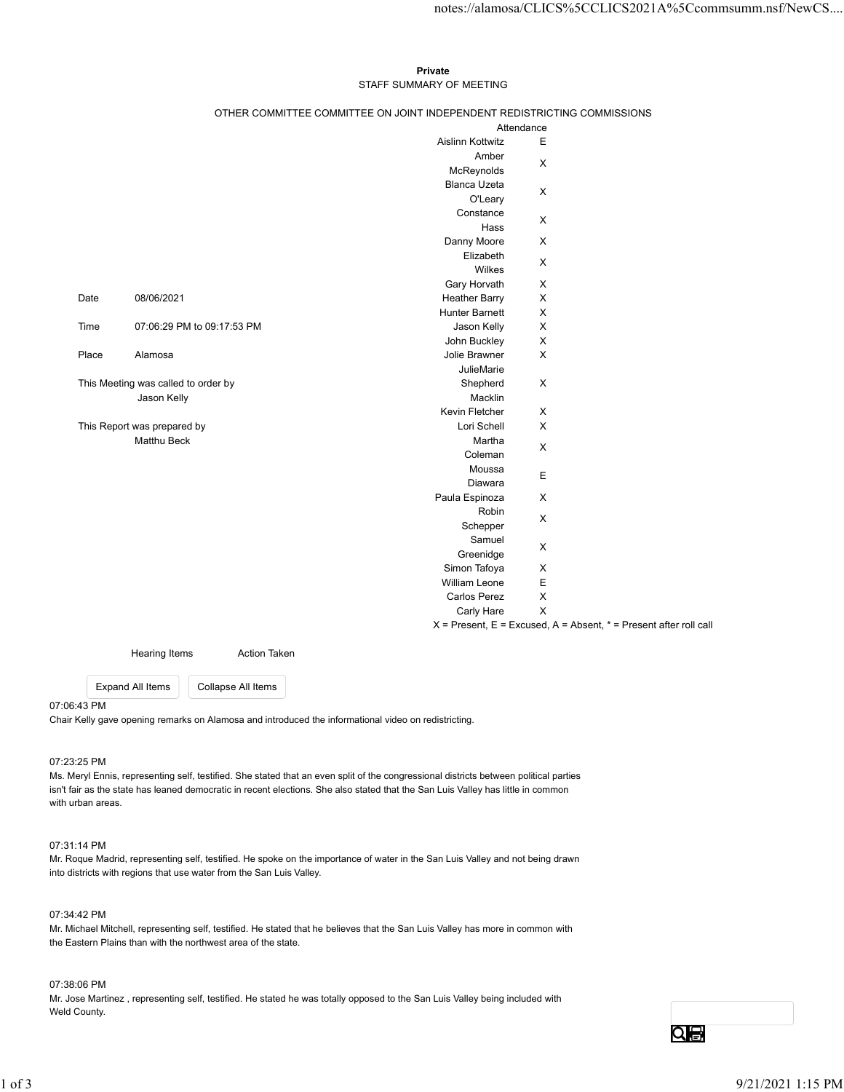## Private **Private** and *Private* and *Private* and *Private* and *Private* and *Private* and *Private* and *Private* and *Private* and *Private* and *Private* and *Private* and *Private* and *Private* and *Private* and *Pri* STAFF SUMMARY OF MEETING

|       |                                     |                            |                                                                          |                             | notes://alamosa/CLICS%5CCLICS2021A%5Ccommsumm.nsf/NewCS                   |
|-------|-------------------------------------|----------------------------|--------------------------------------------------------------------------|-----------------------------|---------------------------------------------------------------------------|
|       |                                     |                            |                                                                          |                             |                                                                           |
|       |                                     |                            | Private                                                                  |                             |                                                                           |
|       |                                     |                            | STAFF SUMMARY OF MEETING                                                 |                             |                                                                           |
|       |                                     |                            | OTHER COMMITTEE COMMITTEE ON JOINT INDEPENDENT REDISTRICTING COMMISSIONS |                             |                                                                           |
|       |                                     |                            | Aislinn Kottwitz                                                         | Attendance<br>$\mathsf E$   |                                                                           |
|       |                                     |                            | Amber                                                                    |                             |                                                                           |
|       |                                     |                            | McReynolds                                                               | $\boldsymbol{\mathsf{X}}$   |                                                                           |
|       |                                     |                            | Blanca Uzeta                                                             | $\mathsf X$                 |                                                                           |
|       |                                     |                            | O'Leary                                                                  |                             |                                                                           |
|       |                                     |                            | Constance<br>Hass                                                        | $\mathsf X$                 |                                                                           |
|       |                                     |                            | Danny Moore                                                              | $\boldsymbol{\mathsf{X}}$   |                                                                           |
|       |                                     |                            | Elizabeth                                                                | $\boldsymbol{\mathsf{X}}$   |                                                                           |
|       |                                     |                            | Wilkes                                                                   |                             |                                                                           |
|       |                                     |                            | Gary Horvath                                                             | $\mathsf X$                 |                                                                           |
| Date  | 08/06/2021                          |                            | <b>Heather Barry</b><br>Hunter Barnett                                   | $\mathsf X$<br>$\mathsf{X}$ |                                                                           |
| Time  |                                     | 07:06:29 PM to 09:17:53 PM | Jason Kelly                                                              | $\boldsymbol{\mathsf{X}}$   |                                                                           |
|       |                                     |                            | John Buckley                                                             | $\mathsf X$                 |                                                                           |
| Place | Alamosa                             |                            | Jolie Brawner                                                            | $\mathsf X$                 |                                                                           |
|       | This Meeting was called to order by |                            | JulieMarie<br>Shepherd                                                   | $\mathsf X$                 |                                                                           |
|       | Jason Kelly                         |                            | Macklin                                                                  |                             |                                                                           |
|       |                                     |                            | Kevin Fletcher                                                           | $\mathsf X$                 |                                                                           |
|       | This Report was prepared by         |                            | Lori Schell                                                              | $\mathsf X$                 |                                                                           |
|       | Matthu Beck                         |                            | Martha<br>Coleman                                                        | $\mathsf X$                 |                                                                           |
|       |                                     |                            | Moussa                                                                   |                             |                                                                           |
|       |                                     |                            | Diawara                                                                  | $\mathsf E$                 |                                                                           |
|       |                                     |                            | Paula Espinoza                                                           | $\mathsf X$                 |                                                                           |
|       |                                     |                            | Robin<br>Schepper                                                        | $\mathsf X$                 |                                                                           |
|       |                                     |                            | Samuel                                                                   |                             |                                                                           |
|       |                                     |                            | Greenidge                                                                | $\mathsf X$                 |                                                                           |
|       |                                     |                            | Simon Tafoya                                                             | $\mathsf X$                 |                                                                           |
|       |                                     |                            | William Leone<br><b>Carlos Perez</b>                                     | $\mathsf E$<br>$\mathsf X$  |                                                                           |
|       |                                     |                            | Carly Hare                                                               | $\mathsf X$                 |                                                                           |
|       |                                     |                            |                                                                          |                             | $X =$ Present, $E =$ Excused, $A =$ Absent, $* =$ Present after roll call |
|       | Hearing Items                       | <b>Action Taken</b>        |                                                                          |                             |                                                                           |
|       | Expand All Items                    | Collapse All Items         |                                                                          |                             |                                                                           |
|       |                                     |                            |                                                                          |                             |                                                                           |

07:06:43 PM

Chair Kelly gave opening remarks on Alamosa and introduced the informational video on redistricting.

### 07:23:25 PM

Ms. Meryl Ennis, representing self, testified. She stated that an even split of the congressional districts between political parties isn't fair as the state has leaned democratic in recent elections. She also stated that the San Luis Valley has little in common with urban areas. 07/2325 PM<br>Ms. Meryl Ennis, representing self, testilled. She stated that an even split of the congressional districts between political parties<br>tint fair as the state has leaned democratic in recont olections. She also s

#### 07:31:14 PM

Mr. Roque Madrid, representing self, testified. He spoke on the importance of water in the San Luis Valley and not being drawn into districts with regions that use water from the San Luis Valley.

### 07:34:42 PM

Mr. Michael Mitchell, representing self, testified. He stated that he believes that the San Luis Valley has more in common with the Eastern Plains than with the northwest area of the state.

#### 07:38:06 PM

Mr. Jose Martinez , representing self, testified. He stated he was totally opposed to the San Luis Valley being included with Weld County.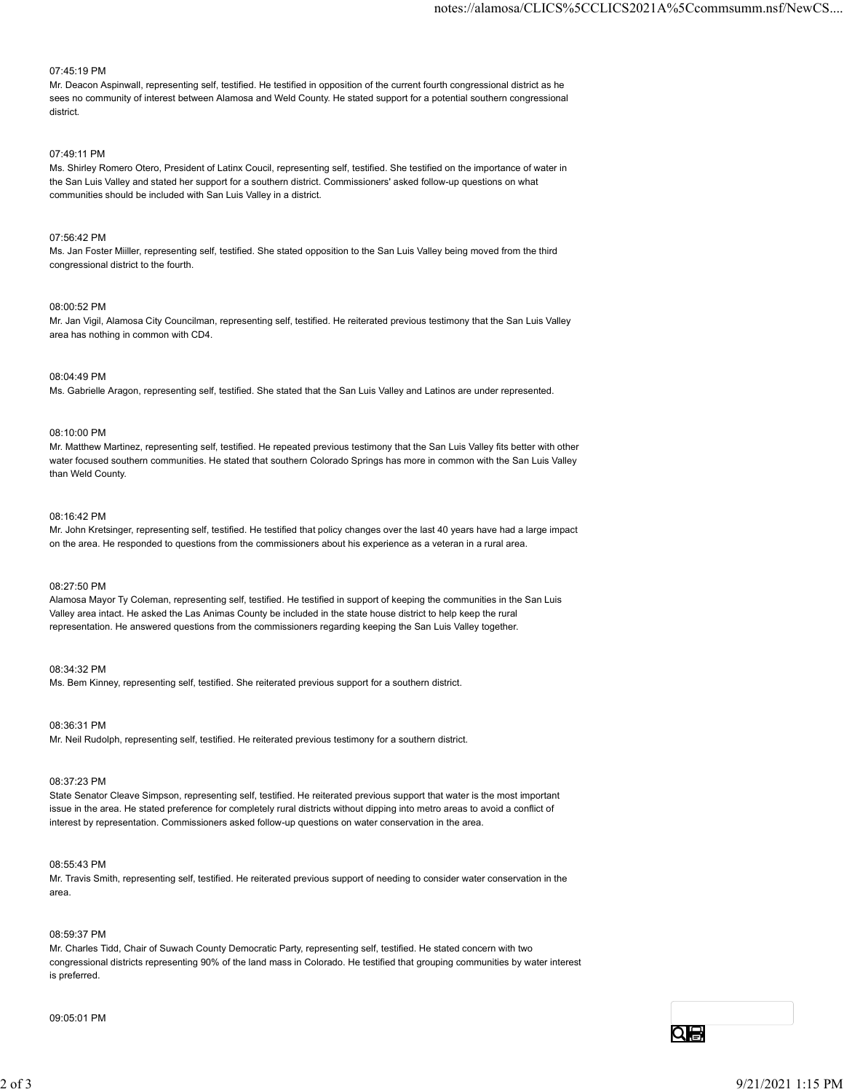# 07:45:19 PM

Mr. Deacon Aspinwall, representing self, testified. He testified in opposition of the current fourth congressional district as he sees no community of interest between Alamosa and Weld County. He stated support for a potential southern congressional district.

# 07:49:11 PM

Ms. Shirley Romero Otero, President of Latinx Coucil, representing self, testified. She testified on the importance of water in the San Luis Valley and stated her support for a southern district. Commissioners' asked follow-up questions on what communities should be included with San Luis Valley in a district.

# 07:56:42 PM

Ms. Jan Foster Miiller, representing self, testified. She stated opposition to the San Luis Valley being moved from the third congressional district to the fourth.

# 08:00:52 PM

Mr. Jan Vigil, Alamosa City Councilman, representing self, testified. He reiterated previous testimony that the San Luis Valley area has nothing in common with CD4.

#### 08:04:49 PM

Ms. Gabrielle Aragon, representing self, testified. She stated that the San Luis Valley and Latinos are under represented.

# 08:10:00 PM

Mr. Matthew Martinez, representing self, testified. He repeated previous testimony that the San Luis Valley fits better with other water focused southern communities. He stated that southern Colorado Springs has more in common with the San Luis Valley than Weld County.

### 08:16:42 PM

Mr. John Kretsinger, representing self, testified. He testified that policy changes over the last 40 years have had a large impact on the area. He responded to questions from the commissioners about his experience as a veteran in a rural area.

#### 08:27:50 PM

Alamosa Mayor Ty Coleman, representing self, testified. He testified in support of keeping the communities in the San Luis Valley area intact. He asked the Las Animas County be included in the state house district to help keep the rural representation. He answered questions from the commissioners regarding keeping the San Luis Valley together.

#### 08:34:32 PM

Ms. Bem Kinney, representing self, testified. She reiterated previous support for a southern district.

#### 08:36:31 PM

Mr. Neil Rudolph, representing self, testified. He reiterated previous testimony for a southern district.

# 08:37:23 PM

State Senator Cleave Simpson, representing self, testified. He reiterated previous support that water is the most important issue in the area. He stated preference for completely rural districts without dipping into metro areas to avoid a conflict of interest by representation. Commissioners asked follow-up questions on water conservation in the area.

# 08:55:43 PM

Mr. Travis Smith, representing self, testified. He reiterated previous support of needing to consider water conservation in the area.

# 08:59:37 PM

Mr. Charles Tidd, Chair of Suwach County Democratic Party, representing self, testified. He stated concern with two congressional districts representing 90% of the land mass in Colorado. He testified that grouping communities by water interest is preferred. io.a.o.i Prior<br>Mr. Neil Rudolph, nopresenting sell, testified, He neltorated previous testimony for a southern district.<br>208.37.23 PM<br>Share Smanler Cleave Simpson, representing self, testified. He relierated previous suppo

# 09:05:01 PM